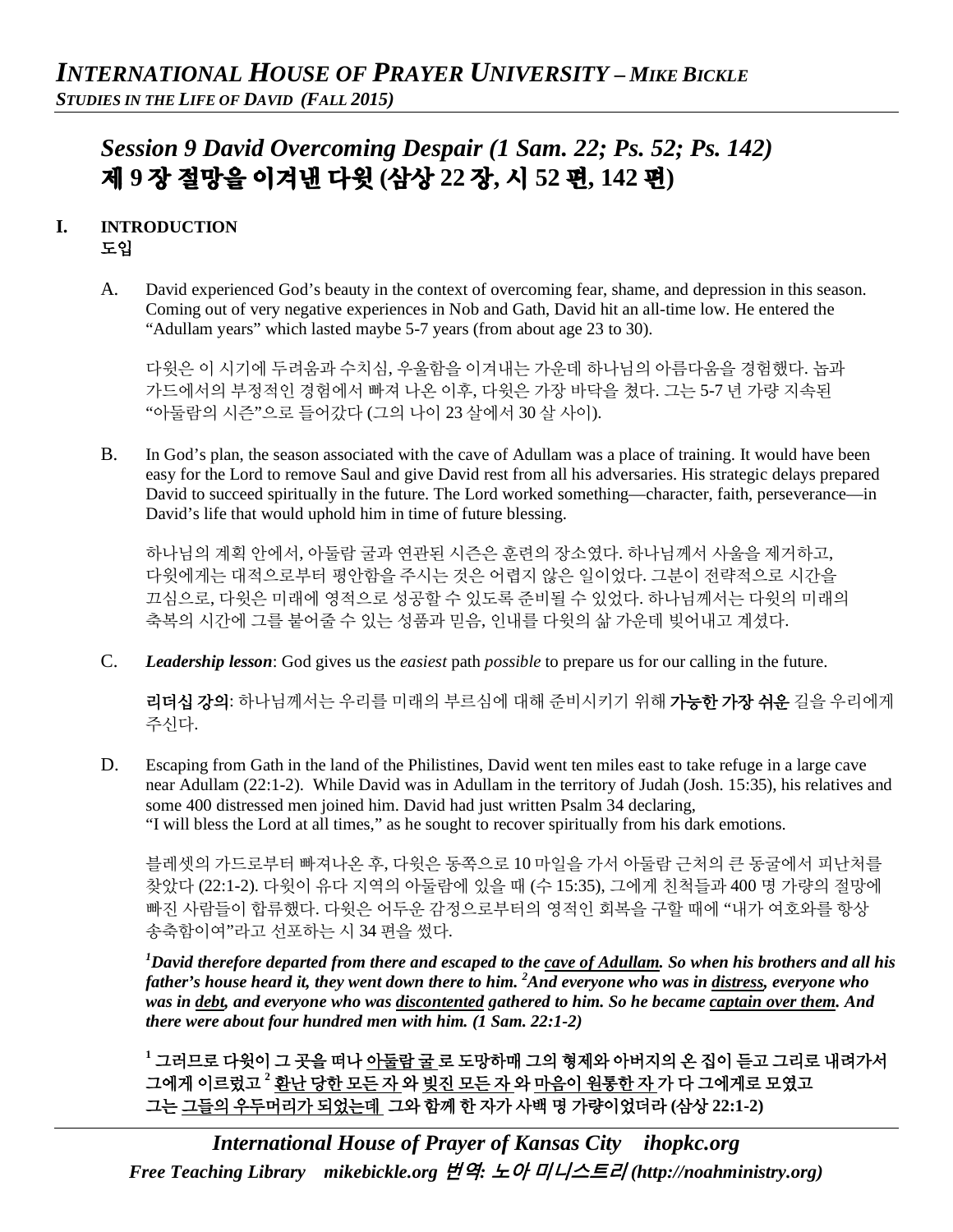# *Session 9 David Overcoming Despair (1 Sam. 22; Ps. 52; Ps. 142)*  제 **9** 장 절망을 이겨낸 다윗 **(**삼상 **22** 장**,** 시 **52** 편**, 142** 편**)**

## **I. INTRODUCTION** 도입

A. David experienced God's beauty in the context of overcoming fear, shame, and depression in this season. Coming out of very negative experiences in Nob and Gath, David hit an all-time low. He entered the "Adullam years" which lasted maybe 5-7 years (from about age 23 to 30).

다윗은 이 시기에 두려움과 수치심, 우울함을 이겨내는 가운데 하나님의 아름다움을 경험했다. 놉과 가드에서의 부정적인 경험에서 빠져 나온 이후, 다윗은 가장 바닥을 쳤다. 그는 5-7 년 가량 지속된 "아둘람의 시즌"으로 들어갔다 (그의 나이 23 살에서 30 살 사이).

B. In God's plan, the season associated with the cave of Adullam was a place of training. It would have been easy for the Lord to remove Saul and give David rest from all his adversaries. His strategic delays prepared David to succeed spiritually in the future. The Lord worked something—character, faith, perseverance—in David's life that would uphold him in time of future blessing.

하나님의 계획 안에서, 아둘람 굴과 연관된 시즌은 훈련의 장소였다. 하나님께서 사울을 제거하고, 다윗에게는 대적으로부터 평안함을 주시는 것은 어렵지 않은 일이었다. 그분이 전략적으로 시간을 끄심으로, 다윗은 미래에 영적으로 성공할 수 있도록 준비될 수 있었다. 하나님께서는 다윗의 미래의 축복의 시간에 그를 붙어줄 수 있는 성품과 믿음, 인내를 다윗의 삶 가운데 빚어내고 계셨다.

C. *Leadership lesson*: God gives us the *easiest* path *possible* to prepare us for our calling in the future.

리더십 강의: 하나님께서는 우리를 미래의 부르심에 대해 준비시키기 위해 가능한 가장 쉬운 길을 우리에게 주신다.

D. Escaping from Gath in the land of the Philistines, David went ten miles east to take refuge in a large cave near Adullam (22:1-2). While David was in Adullam in the territory of Judah (Josh. 15:35), his relatives and some 400 distressed men joined him. David had just written Psalm 34 declaring, "I will bless the Lord at all times," as he sought to recover spiritually from his dark emotions.

블레셋의 가드로부터 빠져나온 후, 다윗은 동쪽으로 10 마일을 가서 아둘람 근처의 큰 동굴에서 피난처를 찾았다 (22:1-2). 다윗이 유다 지역의 아둘람에 있을 때 (수 15:35), 그에게 친척들과 400 명 가량의 절망에 빠진 사람들이 합류했다. 다윗은 어두운 감정으로부터의 영적인 회복을 구할 때에 "내가 여호와를 항상 송축함이여"라고 선포하는 시 34 편을 썼다.

*1 David therefore departed from there and escaped to the cave of Adullam. So when his brothers and all his father's house heard it, they went down there to him. 2 And everyone who was in distress, everyone who was in debt, and everyone who was discontented gathered to him. So he became captain over them. And there were about four hundred men with him. (1 Sam. 22:1-2)*

**<sup>1</sup>** 그러므로 다윗이 그 곳을 떠나 아둘람 굴 로 도망하매 그의 형제와 아버지의 온 집이 듣고 그리로 내려가서 그에게 이르렀고 **<sup>2</sup>** 환난 당한 모든 자 와 빚진 모든 자 와 마음이 원통한 자 가 다 그에게로 모였고 그는 그들의 우두머리가 되었는데 그와 함께 한 자가 사백 명 가량이었더라 **(**삼상 **22:1-2)**

*International House of Prayer of Kansas City [ihopkc.org](http://www.ihopkc.org/) Free Teaching Library [mikebickle.org](http://www.mikebickle.org/)* 번역*:* 노아 미니스트리 *(http://noahministry.org)*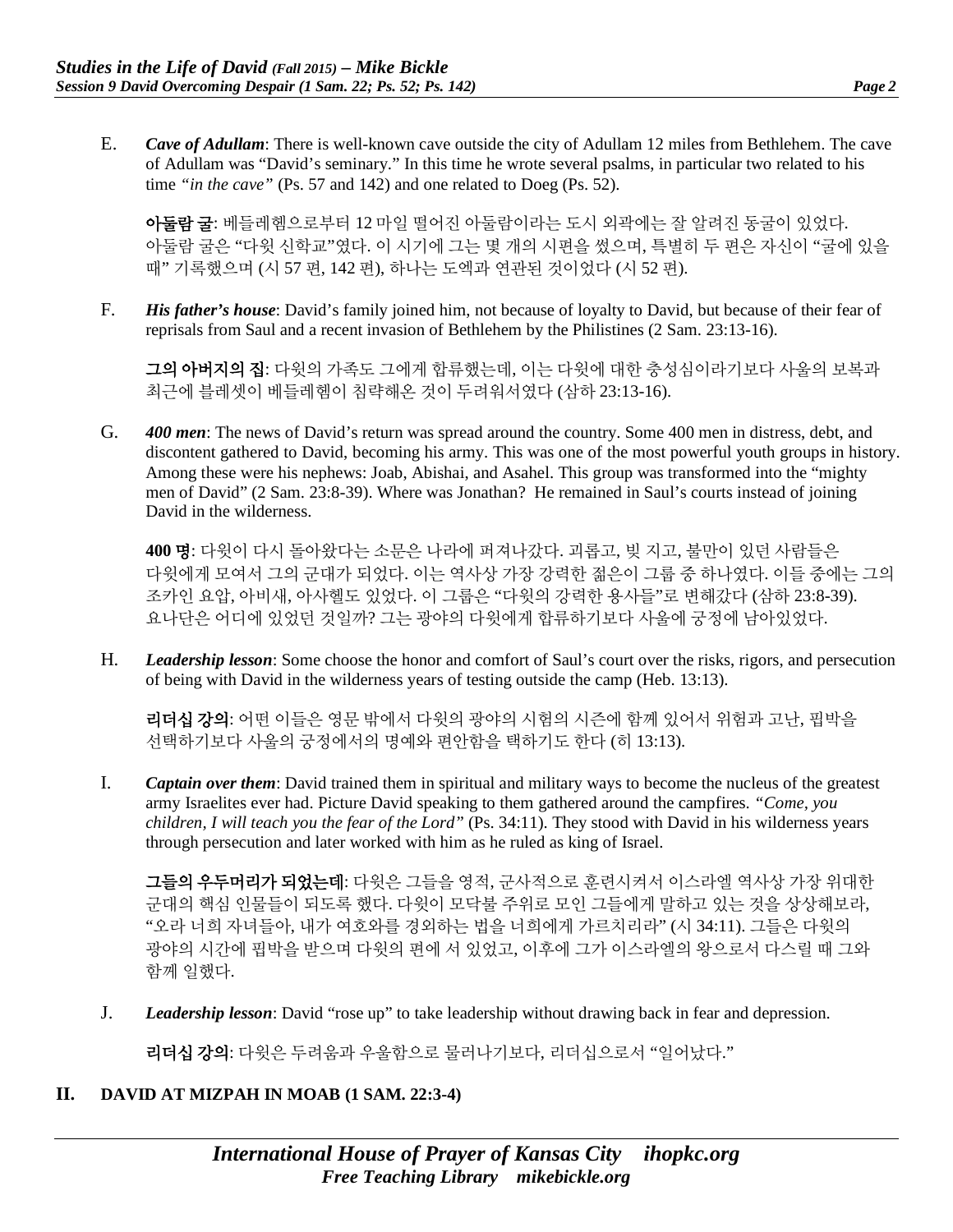E. *Cave of Adullam*: There is well-known cave outside the city of Adullam 12 miles from Bethlehem. The cave of Adullam was "David's seminary." In this time he wrote several psalms, in particular two related to his time *"in the cave"* (Ps. 57 and 142) and one related to Doeg (Ps. 52).

아둘람 굴: 베들레헴으로부터 12 마일 떨어진 아둘람이라는 도시 외곽에는 잘 알려진 동굴이 있었다. 아둘람 굴은 "다윗 신학교"였다. 이 시기에 그는 몇 개의 시편을 썼으며, 특별히 두 편은 자신이 "굴에 있을 때" 기록했으며 (시 57 편, 142 편), 하나는 도엑과 연관된 것이었다 (시 52 편).

F. *His father's house*: David's family joined him, not because of loyalty to David, but because of their fear of reprisals from Saul and a recent invasion of Bethlehem by the Philistines (2 Sam. 23:13-16).

그의 아버지의 집: 다윗의 가족도 그에게 합류했는데, 이는 다윗에 대한 충성심이라기보다 사울의 보복과 최근에 블레셋이 베들레헴이 침략해온 것이 두려워서였다 (삼하 23:13-16).

G. *400 men*: The news of David's return was spread around the country. Some 400 men in distress, debt, and discontent gathered to David, becoming his army. This was one of the most powerful youth groups in history. Among these were his nephews: Joab, Abishai, and Asahel. This group was transformed into the "mighty men of David" (2 Sam. 23:8-39). Where was Jonathan? He remained in Saul's courts instead of joining David in the wilderness.

**400** 명: 다윗이 다시 돌아왔다는 소문은 나라에 퍼져나갔다. 괴롭고, 빚 지고, 불만이 있던 사람들은 다윗에게 모여서 그의 군대가 되었다. 이는 역사상 가장 강력한 젊은이 그룹 중 하나였다. 이들 중에는 그의 조카인 요압, 아비새, 아사헬도 있었다. 이 그룹은 "다윗의 강력한 용사들"로 변해갔다 (삼하 23:8-39). 요나단은 어디에 있었던 것일까? 그는 광야의 다윗에게 합류하기보다 사울에 궁정에 남아있었다.

H. *Leadership lesson*: Some choose the honor and comfort of Saul's court over the risks, rigors, and persecution of being with David in the wilderness years of testing outside the camp (Heb. 13:13).

리더십 강의: 어떤 이들은 영문 밖에서 다윗의 광야의 시험의 시즌에 함께 있어서 위험과 고난, 핍박을 선택하기보다 사울의 궁정에서의 명예와 편안함을 택하기도 한다 (히 13:13).

I. *Captain over them*: David trained them in spiritual and military ways to become the nucleus of the greatest army Israelites ever had. Picture David speaking to them gathered around the campfires. *"Come, you children, I will teach you the fear of the Lord"* (Ps. 34:11). They stood with David in his wilderness years through persecution and later worked with him as he ruled as king of Israel.

그들의 우두머리가 되었는데: 다윗은 그들을 영적, 군사적으로 훈련시켜서 이스라엘 역사상 가장 위대한 군대의 핵심 인물들이 되도록 했다. 다윗이 모닥불 주위로 모인 그들에게 말하고 있는 것을 상상해보라, "오라 너희 자녀들아, 내가 여호와를 경외하는 법을 너희에게 가르치리라" (시 34:11). 그들은 다윗의 광야의 시간에 핍박을 받으며 다윗의 편에 서 있었고, 이후에 그가 이스라엘의 왕으로서 다스릴 때 그와 함께 일했다.

J. *Leadership lesson*: David "rose up" to take leadership without drawing back in fear and depression.

리더십 강의: 다윗은 두려움과 우울함으로 물러나기보다, 리더십으로서 "일어났다."

#### **II. DAVID AT MIZPAH IN MOAB (1 SAM. 22:3-4)**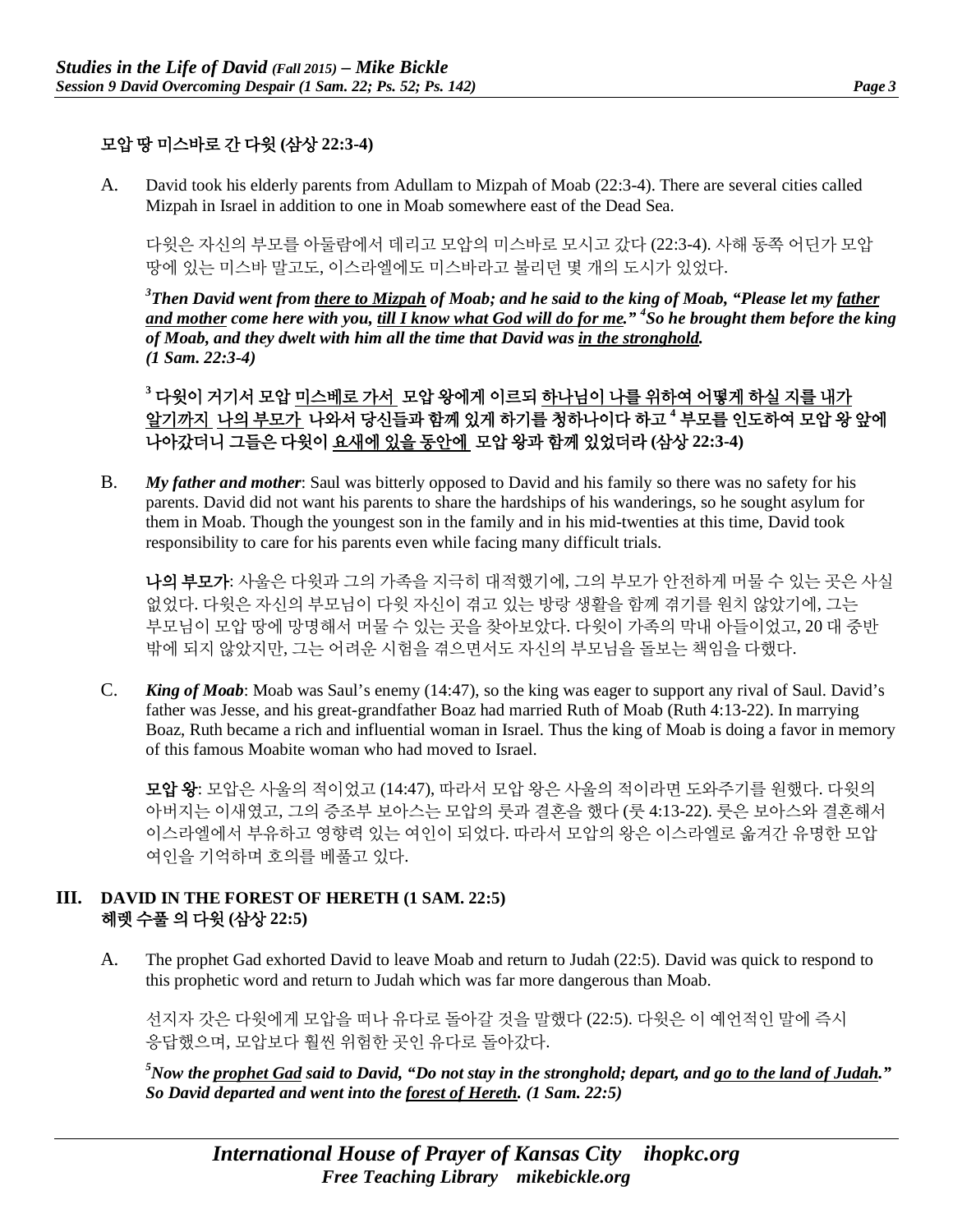### 모압 땅 미스바로 간 다윗 **(**삼상 **22:3-4)**

A. David took his elderly parents from Adullam to Mizpah of Moab (22:3-4). There are several cities called Mizpah in Israel in addition to one in Moab somewhere east of the Dead Sea.

다윗은 자신의 부모를 아둘람에서 데리고 모압의 미스바로 모시고 갔다 (22:3-4). 사해 동쪽 어딘가 모압 땅에 있는 미스바 말고도, 이스라엘에도 미스바라고 불리던 몇 개의 도시가 있었다.

*3 Then David went from there to Mizpah of Moab; and he said to the king of Moab, "Please let my father and mother come here with you, till I know what God will do for me." 4 So he brought them before the king of Moab, and they dwelt with him all the time that David was in the stronghold. (1 Sam. 22:3-4)*

**<sup>3</sup>** 다윗이 거기서 모압 미스베로 가서 모압 왕에게 이르되 하나님이 나를 위하여 어떻게 하실 지를 내가 알기까지 나의 부모가 나와서 당신들과 함께 있게 하기를 청하나이다 하고 **<sup>4</sup>** 부모를 인도하여 모압 왕 앞에 나아갔더니 그들은 다윗이 요새에 있을 동안에 모압 왕과 함께 있었더라 **(**삼상 **22:3-4)**

B. *My father and mother*: Saul was bitterly opposed to David and his family so there was no safety for his parents. David did not want his parents to share the hardships of his wanderings, so he sought asylum for them in Moab. Though the youngest son in the family and in his mid-twenties at this time, David took responsibility to care for his parents even while facing many difficult trials.

나의 부모가: 사울은 다윗과 그의 가족을 지극히 대적했기에, 그의 부모가 안전하게 머물 수 있는 곳은 사실 없었다. 다윗은 자신의 부모님이 다윗 자신이 겪고 있는 방랑 생활을 함께 겪기를 원치 않았기에, 그는 부모님이 모압 땅에 망명해서 머물 수 있는 곳을 찾아보았다. 다윗이 가족의 막내 아들이었고, 20 대 중반 밖에 되지 않았지만, 그는 어려운 시험을 겪으면서도 자신의 부모님을 돌보는 책임을 다했다.

C. *King of Moab*: Moab was Saul's enemy (14:47), so the king was eager to support any rival of Saul. David's father was Jesse, and his great-grandfather Boaz had married Ruth of Moab (Ruth 4:13-22). In marrying Boaz, Ruth became a rich and influential woman in Israel. Thus the king of Moab is doing a favor in memory of this famous Moabite woman who had moved to Israel.

모압 왕: 모압은 사울의 적이었고 (14:47), 따라서 모압 왕은 사울의 적이라면 도와주기를 원했다. 다윗의 아버지는 이새였고, 그의 증조부 보아스는 모압의 룻과 결혼을 했다 (룻 4:13-22). 룻은 보아스와 결혼해서 이스라엘에서 부유하고 영향력 있는 여인이 되었다. 따라서 모압의 왕은 이스라엘로 옮겨간 유명한 모압 여인을 기억하며 호의를 베풀고 있다.

#### **III. DAVID IN THE FOREST OF HERETH (1 SAM. 22:5)** 헤렛 수풀 의 다윗 **(**삼상 **22:5)**

A. The prophet Gad exhorted David to leave Moab and return to Judah (22:5). David was quick to respond to this prophetic word and return to Judah which was far more dangerous than Moab.

선지자 갓은 다윗에게 모압을 떠나 유다로 돌아갈 것을 말했다 (22:5). 다윗은 이 예언적인 말에 즉시 응답했으며, 모압보다 훨씬 위험한 곳인 유다로 돌아갔다.

*5 Now the prophet Gad said to David, "Do not stay in the stronghold; depart, and go to the land of Judah." So David departed and went into the forest of Hereth. (1 Sam. 22:5)*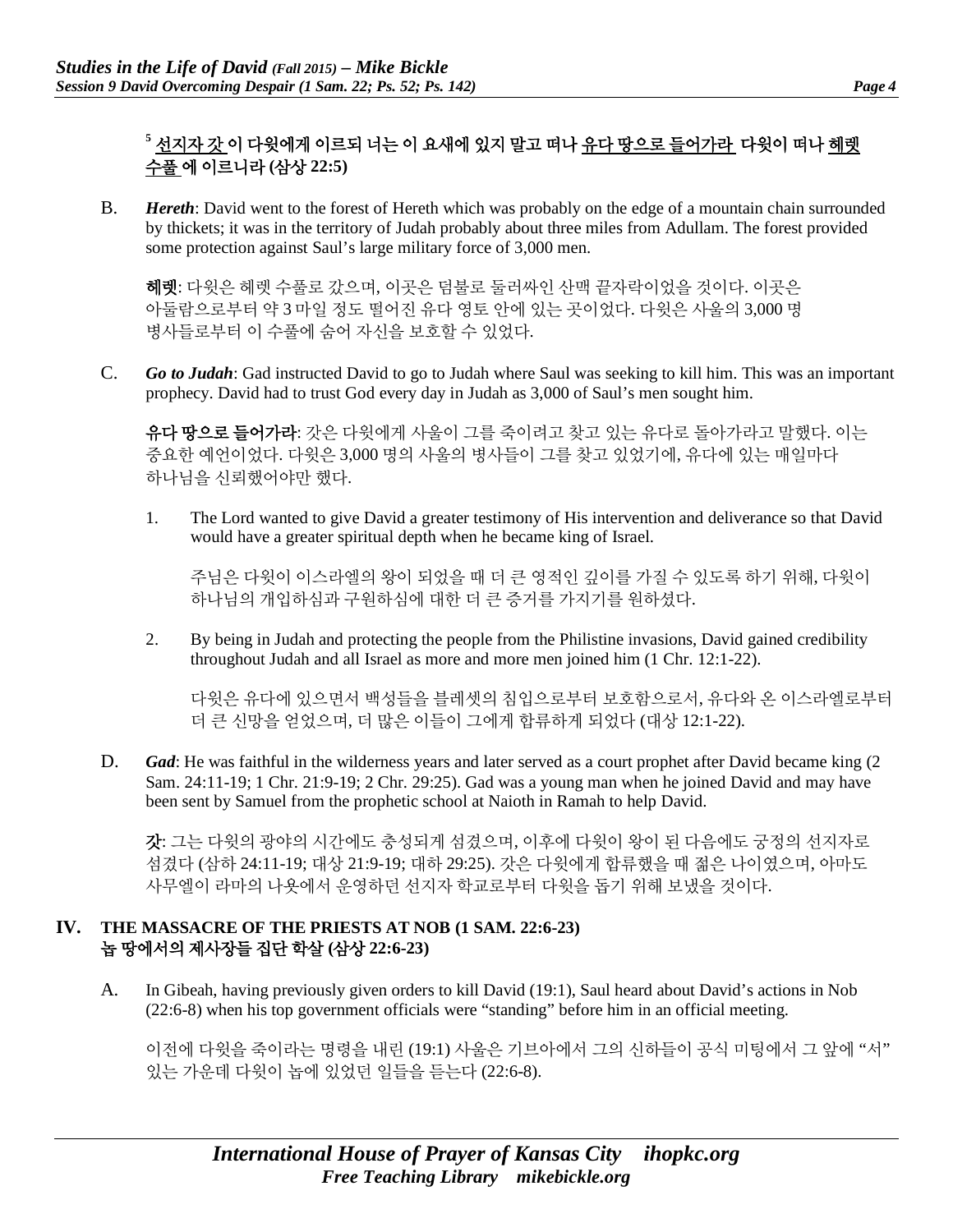## **<sup>5</sup>** 선지자 갓 이 다윗에게 이르되 너는 이 요새에 있지 말고 떠나 유다 땅으로 들어가라 다윗이 떠나 헤렛 수풀 에 이르니라 **(**삼상 **22:5)**

B. *Hereth*: David went to the forest of Hereth which was probably on the edge of a mountain chain surrounded by thickets; it was in the territory of Judah probably about three miles from Adullam. The forest provided some protection against Saul's large military force of 3,000 men.

헤렛: 다윗은 헤렛 수풀로 갔으며, 이곳은 덤불로 둘러싸인 산맥 끝자락이었을 것이다. 이곳은 아둘람으로부터 약 3 마일 정도 떨어진 유다 영토 안에 있는 곳이었다. 다윗은 사울의 3,000 명 병사들로부터 이 수풀에 숨어 자신을 보호할 수 있었다.

C. *Go to Judah*: Gad instructed David to go to Judah where Saul was seeking to kill him. This was an important prophecy. David had to trust God every day in Judah as 3,000 of Saul's men sought him.

유다 땅으로 들어가라: 갓은 다윗에게 사울이 그를 죽이려고 찾고 있는 유다로 돌아가라고 말했다. 이는 중요한 예언이었다. 다윗은 3,000 명의 사울의 병사들이 그를 찾고 있었기에, 유다에 있는 매일마다 하나님을 신뢰했어야만 했다.

1. The Lord wanted to give David a greater testimony of His intervention and deliverance so that David would have a greater spiritual depth when he became king of Israel.

주님은 다윗이 이스라엘의 왕이 되었을 때 더 큰 영적인 깊이를 가질 수 있도록 하기 위해, 다윗이 하나님의 개입하심과 구원하심에 대한 더 큰 증거를 가지기를 원하셨다.

2. By being in Judah and protecting the people from the Philistine invasions, David gained credibility throughout Judah and all Israel as more and more men joined him (1 Chr. 12:1-22).

다윗은 유다에 있으면서 백성들을 블레셋의 침입으로부터 보호함으로서, 유다와 온 이스라엘로부터 더 큰 신망을 얻었으며, 더 많은 이들이 그에게 합류하게 되었다 (대상 12:1-22).

D. *Gad*: He was faithful in the wilderness years and later served as a court prophet after David became king (2) Sam. 24:11-19; 1 Chr. 21:9-19; 2 Chr. 29:25). Gad was a young man when he joined David and may have been sent by Samuel from the prophetic school at Naioth in Ramah to help David.

갓: 그는 다윗의 광야의 시간에도 충성되게 섬겼으며, 이후에 다윗이 왕이 된 다음에도 궁정의 선지자로 섬겼다 (삼하 24:11-19; 대상 21:9-19; 대하 29:25). 갓은 다윗에게 합류했을 때 젊은 나이였으며, 아마도 사무엘이 라마의 나욧에서 운영하던 선지자 학교로부터 다윗을 돕기 위해 보냈을 것이다.

#### **IV. THE MASSACRE OF THE PRIESTS AT NOB (1 SAM. 22:6-23)** 놉 땅에서의 제사장들 집단 학살 **(**삼상 **22:6-23)**

A. In Gibeah, having previously given orders to kill David (19:1), Saul heard about David's actions in Nob (22:6-8) when his top government officials were "standing" before him in an official meeting.

이전에 다윗을 죽이라는 명령을 내린 (19:1) 사울은 기브아에서 그의 신하들이 공식 미팅에서 그 앞에 "서" 있는 가운데 다윗이 놉에 있었던 일들을 듣는다 (22:6-8).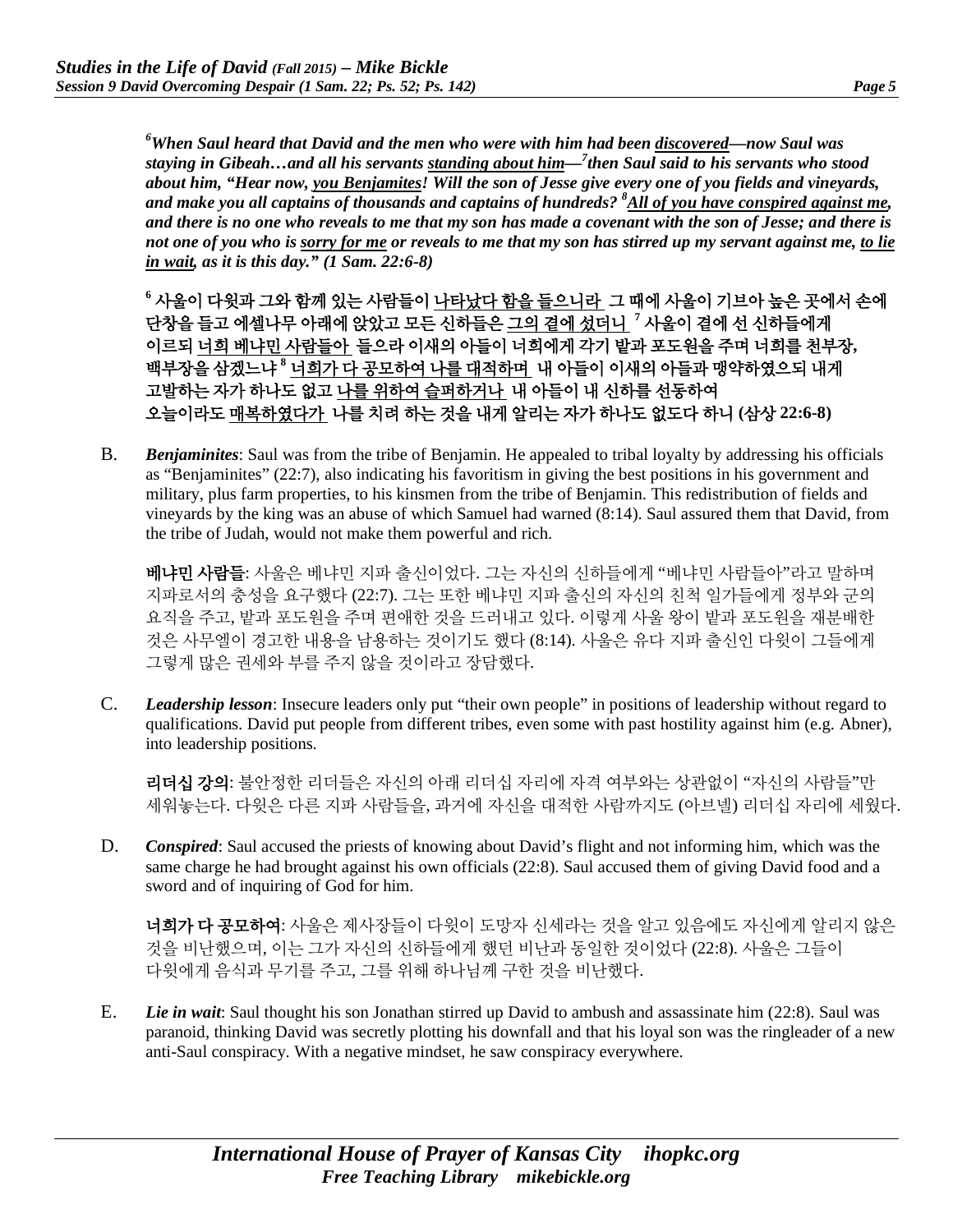*6 When Saul heard that David and the men who were with him had been discovered—now Saul was staying in Gibeah…and all his servants standing about him—7 then Saul said to his servants who stood about him, "Hear now, you Benjamites! Will the son of Jesse give every one of you fields and vineyards, and make you all captains of thousands and captains of hundreds? 8 All of you have conspired against me, and there is no one who reveals to me that my son has made a covenant with the son of Jesse; and there is not one of you who is sorry for me or reveals to me that my son has stirred up my servant against me, to lie in wait, as it is this day." (1 Sam. 22:6-8)*

**<sup>6</sup>** 사울이 다윗과 그와 함께 있는 사람들이 나타났다 함을 들으니라 그 때에 사울이 기브아 높은 곳에서 손에 단창을 들고 에셀나무 아래에 앉았고 모든 신하들은 그의 곁에 섰더니 **<sup>7</sup>** 사울이 곁에 선 신하들에게 이르되 너희 베냐민 사람들아 들으라 이새의 아들이 너희에게 각기 밭과 포도원을 주며 너희를 천부장**,**  백부장을 삼겠느냐 **<sup>8</sup>** 너희가 다 공모하여 나를 대적하며 내 아들이 이새의 아들과 맹약하였으되 내게 고발하는 자가 하나도 없고 나를 위하여 슬퍼하거나 내 아들이 내 신하를 선동하여 오늘이라도 매복하였다가 나를 치려 하는 것을 내게 알리는 자가 하나도 없도다 하니 **(**삼상 **22:6-8)**

B. *Benjaminites*: Saul was from the tribe of Benjamin. He appealed to tribal loyalty by addressing his officials as "Benjaminites" (22:7), also indicating his favoritism in giving the best positions in his government and military, plus farm properties, to his kinsmen from the tribe of Benjamin. This redistribution of fields and vineyards by the king was an abuse of which Samuel had warned (8:14). Saul assured them that David, from the tribe of Judah, would not make them powerful and rich.

**베냐민 사람들**: 사울은 베냐민 지파 출신이었다. 그는 자신의 신하들에게 "베냐민 사람들아"라고 말하며 지파로서의 충성을 요구했다 (22:7). 그는 또한 베냐민 지파 출신의 자신의 친척 일가들에게 정부와 군의 요직을 주고, 밭과 포도원을 주며 편애한 것을 드러내고 있다. 이렇게 사울 왕이 밭과 포도원을 재분배한 것은 사무엘이 경고한 내용을 남용하는 것이기도 했다 (8:14). 사울은 유다 지파 출신인 다윗이 그들에게 그렇게 많은 권세와 부를 주지 않을 것이라고 장담했다.

C. *Leadership lesson*: Insecure leaders only put "their own people" in positions of leadership without regard to qualifications. David put people from different tribes, even some with past hostility against him (e.g. Abner), into leadership positions.

리더십 강의: 불안정한 리더들은 자신의 아래 리더십 자리에 자격 여부와는 상관없이 "자신의 사람들"만 세워놓는다. 다윗은 다른 지파 사람들을, 과거에 자신을 대적한 사람까지도 (아브넬) 리더십 자리에 세웠다.

D. *Conspired*: Saul accused the priests of knowing about David's flight and not informing him, which was the same charge he had brought against his own officials (22:8). Saul accused them of giving David food and a sword and of inquiring of God for him.

너희가 다 공모하여: 사울은 제사장들이 다윗이 도망자 신세라는 것을 알고 있음에도 자신에게 알리지 않은 것을 비난했으며, 이는 그가 자신의 신하들에게 했던 비난과 동일한 것이었다 (22:8). 사울은 그들이 다윗에게 음식과 무기를 주고, 그를 위해 하나님께 구한 것을 비난했다.

E. *Lie in wait*: Saul thought his son Jonathan stirred up David to ambush and assassinate him (22:8). Saul was paranoid, thinking David was secretly plotting his downfall and that his loyal son was the ringleader of a new anti-Saul conspiracy. With a negative mindset, he saw conspiracy everywhere.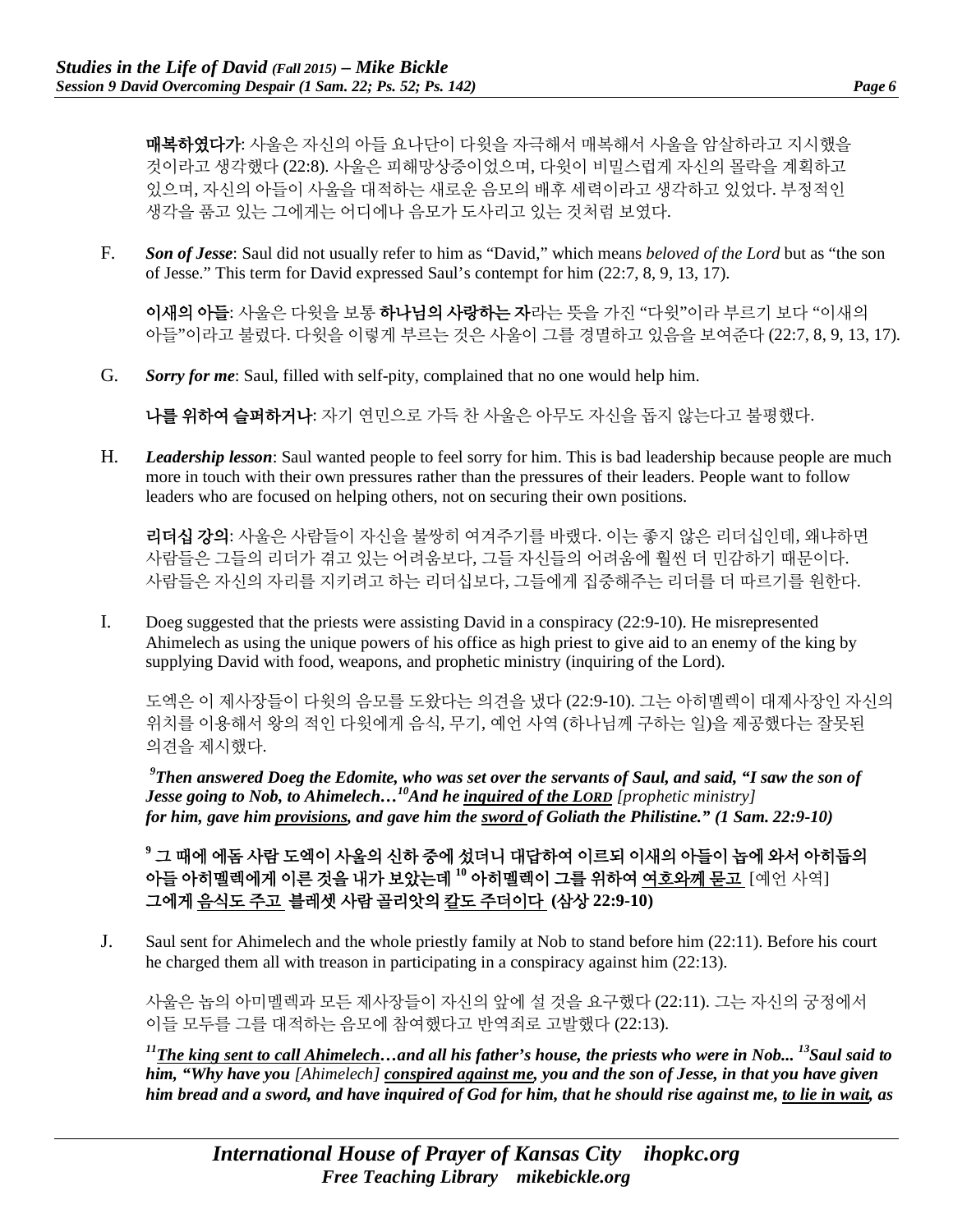매복하였다가: 사울은 자신의 아들 요나단이 다윗을 자극해서 매복해서 사울을 암살하라고 지시했을 것이라고 생각했다 (22:8). 사울은 피해망상증이었으며, 다윗이 비밀스럽게 자신의 몰락을 계획하고 있으며, 자신의 아들이 사울을 대적하는 새로운 음모의 배후 세력이라고 생각하고 있었다. 부정적인 생각을 품고 있는 그에게는 어디에나 음모가 도사리고 있는 것처럼 보였다.

F. *Son of Jesse*: Saul did not usually refer to him as "David," which means *beloved of the Lord* but as "the son of Jesse." This term for David expressed Saul's contempt for him (22:7, 8, 9, 13, 17).

이새의 아들: 사울은 다윗을 보통 하나님의 사랑하는 자라는 뜻을 가진 "다윗"이라 부르기 보다 "이새의 아들"이라고 불렀다. 다윗을 이렇게 부르는 것은 사울이 그를 경멸하고 있음을 보여준다 (22:7, 8, 9, 13, 17).

G. *Sorry for me*: Saul, filled with self-pity, complained that no one would help him.

나를 위하여 슬퍼하거나: 자기 연민으로 가득 찬 사울은 아무도 자신을 돕지 않는다고 불평했다.

H. *Leadership lesson*: Saul wanted people to feel sorry for him. This is bad leadership because people are much more in touch with their own pressures rather than the pressures of their leaders. People want to follow leaders who are focused on helping others, not on securing their own positions.

리더십 강의: 사울은 사람들이 자신을 불쌍히 여겨주기를 바랬다. 이는 좋지 않은 리더십인데, 왜냐하면 사람들은 그들의 리더가 겪고 있는 어려움보다, 그들 자신들의 어려움에 훨씬 더 민감하기 때문이다. 사람들은 자신의 자리를 지키려고 하는 리더십보다, 그들에게 집중해주는 리더를 더 따르기를 원한다.

I. Doeg suggested that the priests were assisting David in a conspiracy (22:9-10). He misrepresented Ahimelech as using the unique powers of his office as high priest to give aid to an enemy of the king by supplying David with food, weapons, and prophetic ministry (inquiring of the Lord).

도엑은 이 제사장들이 다윗의 음모를 도왔다는 의견을 냈다 (22:9-10). 그는 아히멜렉이 대제사장인 자신의 위치를 이용해서 왕의 적인 다윗에게 음식, 무기, 예언 사역 (하나님께 구하는 일)을 제공했다는 잘못된 의견을 제시했다.

*9 Then answered Doeg the Edomite, who was set over the servants of Saul, and said, "I saw the son of Jesse going to Nob, to Ahimelech...*<sup>10</sup>And he *inquired of the LORD [prophetic ministry] for him, gave him provisions, and gave him the sword of Goliath the Philistine." (1 Sam. 22:9-10)*

**<sup>9</sup>** 그 때에 에돔 사람 도엑이 사울의 신하 중에 섰더니 대답하여 이르되 이새의 아들이 놉에 와서 아히둡의 아들 아히멜렉에게 이른 것을 내가 보았는데 **<sup>10</sup>** 아히멜렉이 그를 위하여 여호와께 묻고 [예언 사역] 그에게 음식도 주고 블레셋 사람 골리앗의 칼도 주더이다 **(**삼상 **22:9-10)**

J. Saul sent for Ahimelech and the whole priestly family at Nob to stand before him (22:11). Before his court he charged them all with treason in participating in a conspiracy against him (22:13).

사울은 놉의 아미멜렉과 모든 제사장들이 자신의 앞에 설 것을 요구했다 (22:11). 그는 자신의 궁정에서 이들 모두를 그를 대적하는 음모에 참여했다고 반역죄로 고발했다 (22:13).

*11The king sent to call Ahimelech…and all his father's house, the priests who were in Nob... 13Saul said to him, "Why have you [Ahimelech] conspired against me, you and the son of Jesse, in that you have given him bread and a sword, and have inquired of God for him, that he should rise against me, to lie in wait, as*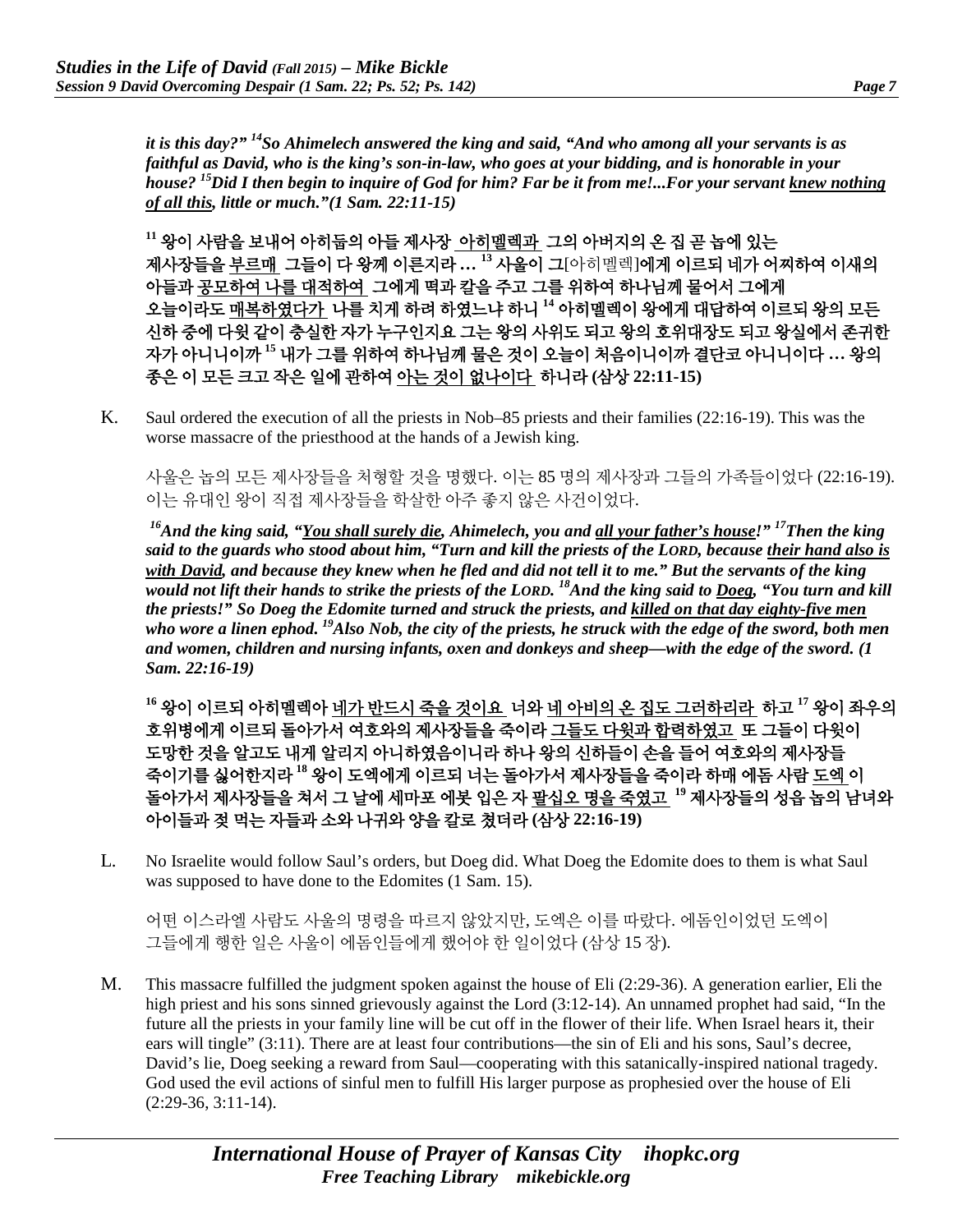*it is this day?" 14So Ahimelech answered the king and said, "And who among all your servants is as faithful as David, who is the king's son-in-law, who goes at your bidding, and is honorable in your house? 15Did I then begin to inquire of God for him? Far be it from me!...For your servant knew nothing of all this, little or much."(1 Sam. 22:11-15)*

**<sup>11</sup>** 왕이 사람을 보내어 아히둡의 아들 제사장 아히멜렉과 그의 아버지의 온 집 곧 놉에 있는 제사장들을 부르매 그들이 다 왕께 이른지라 **… <sup>13</sup>** 사울이 그[아히멜렉]에게 이르되 네가 어찌하여 이새의 아들과 공모하여 나를 대적하여 그에게 떡과 칼을 주고 그를 위하여 하나님께 물어서 그에게 오늘이라도 매복하였다가 나를 치게 하려 하였느냐 하니 **<sup>14</sup>** 아히멜렉이 왕에게 대답하여 이르되 왕의 모든 신하 중에 다윗 같이 충실한 자가 누구인지요 그는 왕의 사위도 되고 왕의 호위대장도 되고 왕실에서 존귀한 자가 아니니이까 **<sup>15</sup>** 내가 그를 위하여 하나님께 물은 것이 오늘이 처음이니이까 결단코 아니니이다 **…** 왕의 종은 이 모든 크고 작은 일에 관하여 아는 것이 없나이다 하니라 **(**삼상 **22:11-15)**

K. Saul ordered the execution of all the priests in Nob–85 priests and their families (22:16-19). This was the worse massacre of the priesthood at the hands of a Jewish king.

사울은 놉의 모든 제사장들을 처형할 것을 명했다. 이는 85 명의 제사장과 그들의 가족들이었다 (22:16-19). 이는 유대인 왕이 직접 제사장들을 학살한 아주 좋지 않은 사건이었다.

*16And the king said, "You shall surely die, Ahimelech, you and all your father's house!" 17Then the king said to the guards who stood about him, "Turn and kill the priests of the LORD, because their hand also is with David, and because they knew when he fled and did not tell it to me." But the servants of the king would not lift their hands to strike the priests of the LORD. 18And the king said to Doeg, "You turn and kill the priests!" So Doeg the Edomite turned and struck the priests, and killed on that day eighty-five men who wore a linen ephod. 19Also Nob, the city of the priests, he struck with the edge of the sword, both men and women, children and nursing infants, oxen and donkeys and sheep—with the edge of the sword. (1 Sam. 22:16-19)*

**<sup>16</sup>** 왕이 이르되 아히멜렉아 네가 반드시 죽을 것이요 너와 네 아비의 온 집도 그러하리라 하고 **<sup>17</sup>** 왕이 좌우의 호위병에게 이르되 돌아가서 여호와의 제사장들을 죽이라 그들도 다윗과 합력하였고 또 그들이 다윗이 도망한 것을 알고도 내게 알리지 아니하였음이니라 하나 왕의 신하들이 손을 들어 여호와의 제사장들 죽이기를 싫어한지라 **<sup>18</sup>** 왕이 도엑에게 이르되 너는 돌아가서 제사장들을 죽이라 하매 에돔 사람 도엑 이 돌아가서 제사장들을 쳐서 그 날에 세마포 에봇 입은 자 팔십오 명을 죽였고 **<sup>19</sup>** 제사장들의 성읍 놉의 남녀와 아이들과 젖 먹는 자들과 소와 나귀와 양을 칼로 쳤더라 **(**삼상 **22:16-19)**

L. No Israelite would follow Saul's orders, but Doeg did. What Doeg the Edomite does to them is what Saul was supposed to have done to the Edomites (1 Sam. 15).

어떤 이스라엘 사람도 사울의 명령을 따르지 않았지만, 도엑은 이를 따랐다. 에돔인이었던 도엑이 그들에게 행한 일은 사울이 에돔인들에게 했어야 한 일이었다 (삼상 15 장).

M. This massacre fulfilled the judgment spoken against the house of Eli (2:29-36). A generation earlier, Eli the high priest and his sons sinned grievously against the Lord  $(3:12-14)$ . An unnamed prophet had said, "In the future all the priests in your family line will be cut off in the flower of their life. When Israel hears it, their ears will tingle" (3:11). There are at least four contributions—the sin of Eli and his sons, Saul's decree, David's lie, Doeg seeking a reward from Saul—cooperating with this satanically-inspired national tragedy. God used the evil actions of sinful men to fulfill His larger purpose as prophesied over the house of Eli (2:29-36, 3:11-14).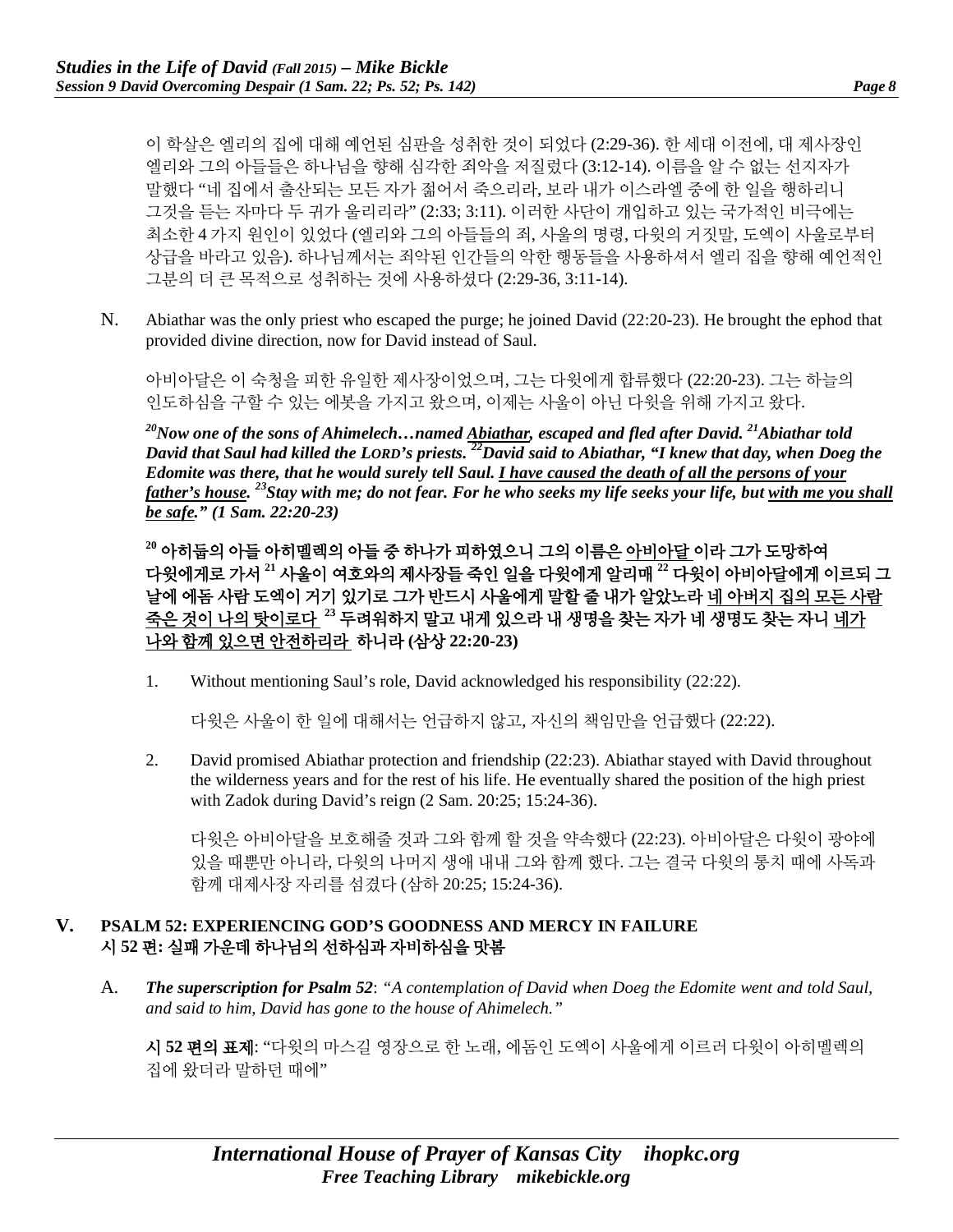이 학살은 엘리의 집에 대해 예언된 심판을 성취한 것이 되었다 (2:29-36). 한 세대 이전에, 대 제사장인 엘리와 그의 아들들은 하나님을 향해 심각한 죄악을 저질렀다 (3:12-14). 이름을 알 수 없는 선지자가 말했다 "네 집에서 출산되는 모든 자가 젊어서 죽으리라, 보라 내가 이스라엘 중에 한 일을 행하리니 그것을 듣는 자마다 두 귀가 울리리라" (2:33; 3:11). 이러한 사단이 개입하고 있는 국가적인 비극에는 최소한 4 가지 원인이 있었다 (엘리와 그의 아들들의 죄, 사울의 명령, 다윗의 거짓말, 도엑이 사울로부터 상급을 바라고 있음). 하나님께서는 죄악된 인간들의 악한 행동들을 사용하셔서 엘리 집을 향해 예언적인 그분의 더 큰 목적으로 성취하는 것에 사용하셨다 (2:29-36, 3:11-14).

N. Abiathar was the only priest who escaped the purge; he joined David (22:20-23). He brought the ephod that provided divine direction, now for David instead of Saul.

아비아달은 이 숙청을 피한 유일한 제사장이었으며, 그는 다윗에게 합류했다 (22:20-23). 그는 하늘의 인도하심을 구할 수 있는 에봇을 가지고 왔으며, 이제는 사울이 아닌 다윗을 위해 가지고 왔다.

*20Now one of the sons of Ahimelech…named Abiathar, escaped and fled after David. 21Abiathar told David that Saul had killed the LORD's priests. 22David said to Abiathar, "I knew that day, when Doeg the Edomite was there, that he would surely tell Saul. I have caused the death of all the persons of your father's house. 23Stay with me; do not fear. For he who seeks my life seeks your life, but with me you shall be safe." (1 Sam. 22:20-23)*

**<sup>20</sup>** 아히둡의 아들 아히멜렉의 아들 중 하나가 피하였으니 그의 이름은 아비아달 이라 그가 도망하여 다윗에게로 가서 **<sup>21</sup>** 사울이 여호와의 제사장들 죽인 일을 다윗에게 알리매 **<sup>22</sup>** 다윗이 아비아달에게 이르되 그 날에 에돔 사람 도엑이 거기 있기로 그가 반드시 사울에게 말할 줄 내가 알았노라 네 아버지 집의 모든 사람 죽은 것이 나의 탓이로다 **<sup>23</sup>** 두려워하지 말고 내게 있으라 내 생명을 찾는 자가 네 생명도 찾는 자니 네가 나와 함께 있으면 안전하리라 하니라 **(**삼상 **22:20-23)**

1. Without mentioning Saul's role, David acknowledged his responsibility (22:22).

다윗은 사울이 한 일에 대해서는 언급하지 않고, 자신의 책임만을 언급했다 (22:22).

2. David promised Abiathar protection and friendship (22:23). Abiathar stayed with David throughout the wilderness years and for the rest of his life. He eventually shared the position of the high priest with Zadok during David's reign (2 Sam. 20:25; 15:24-36).

다윗은 아비아달을 보호해줄 것과 그와 함께 할 것을 약속했다 (22:23). 아비아달은 다윗이 광야에 있을 때뿐만 아니라, 다윗의 나머지 생애 내내 그와 함께 했다. 그는 결국 다윗의 통치 때에 사독과 함께 대제사장 자리를 섬겼다 (삼하 20:25; 15:24-36).

#### **V. PSALM 52: EXPERIENCING GOD'S GOODNESS AND MERCY IN FAILURE** 시 **52** 편**:** 실패 가운데 하나님의 선하심과 자비하심을 맛봄

A. *The superscription for Psalm 52*: *"A contemplation of David when Doeg the Edomite went and told Saul, and said to him, David has gone to the house of Ahimelech."*

시 **52** 편의 표제: "다윗의 마스길 영장으로 한 노래, 에돔인 도엑이 사울에게 이르러 다윗이 아히멜렉의 집에 왔더라 말하던 때에"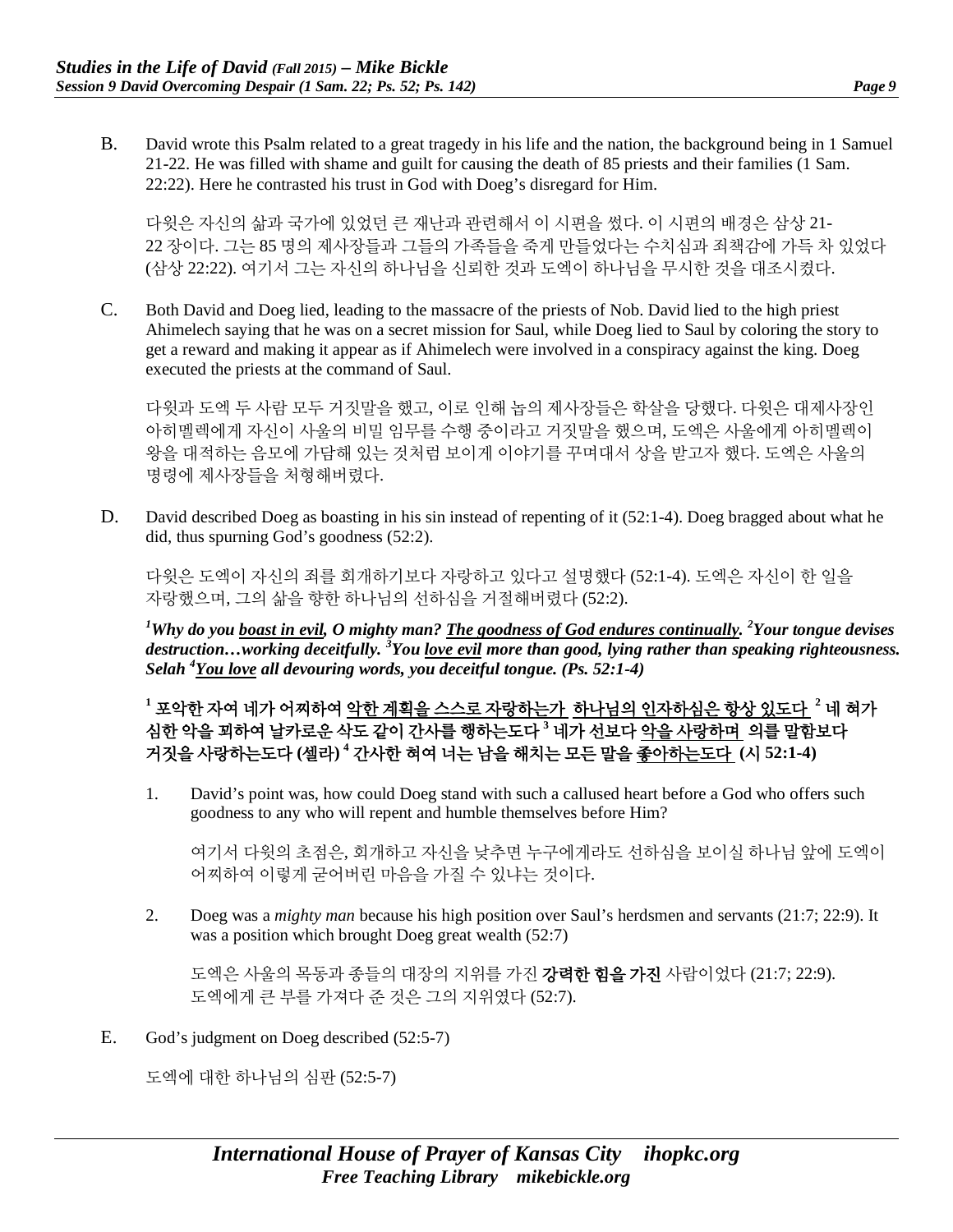B. David wrote this Psalm related to a great tragedy in his life and the nation, the background being in 1 Samuel 21-22. He was filled with shame and guilt for causing the death of 85 priests and their families (1 Sam. 22:22). Here he contrasted his trust in God with Doeg's disregard for Him.

다윗은 자신의 삶과 국가에 있었던 큰 재난과 관련해서 이 시편을 썼다. 이 시편의 배경은 삼상 21- 22 장이다. 그는 85 명의 제사장들과 그들의 가족들을 죽게 만들었다는 수치심과 죄책감에 가득 차 있었다 (삼상 22:22). 여기서 그는 자신의 하나님을 신뢰한 것과 도엑이 하나님을 무시한 것을 대조시켰다.

C. Both David and Doeg lied, leading to the massacre of the priests of Nob. David lied to the high priest Ahimelech saying that he was on a secret mission for Saul, while Doeg lied to Saul by coloring the story to get a reward and making it appear as if Ahimelech were involved in a conspiracy against the king. Doeg executed the priests at the command of Saul.

다윗과 도엑 두 사람 모두 거짓말을 했고, 이로 인해 놉의 제사장들은 학살을 당했다. 다윗은 대제사장인 아히멜렉에게 자신이 사울의 비밀 임무를 수행 중이라고 거짓말을 했으며, 도엑은 사울에게 아히멜렉이 왕을 대적하는 음모에 가담해 있는 것처럼 보이게 이야기를 꾸며대서 상을 받고자 했다. 도엑은 사울의 명령에 제사장들을 처형해버렸다.

D. David described Doeg as boasting in his sin instead of repenting of it (52:1-4). Doeg bragged about what he did, thus spurning God's goodness (52:2).

다윗은 도엑이 자신의 죄를 회개하기보다 자랑하고 있다고 설명했다 (52:1-4). 도엑은 자신이 한 일을 자랑했으며, 그의 삶을 향한 하나님의 선하심을 거절해버렸다 (52:2).

<sup>1</sup>Why do you <u>boast in evil</u>, O mighty man? <u>The goodness of God endures continually</u>. <sup>2</sup>Your tongue devises *destruction…working deceitfully. <sup>3</sup> You love evil more than good, lying rather than speaking righteousness. Selah 4 You love all devouring words, you deceitful tongue. (Ps. 52:1-4)*

**<sup>1</sup>** 포악한 자여 네가 어찌하여 악한 계획을 스스로 자랑하는가 하나님의 인자하심은 항상 있도다 **<sup>2</sup>** 네 혀가 심한 악을 꾀하여 날카로운 삭도 같이 간사를 행하는도다 **<sup>3</sup>** 네가 선보다 악을 사랑하며 의를 말함보다 거짓을 사랑하는도다 **(**셀라**) <sup>4</sup>** 간사한 혀여 너는 남을 해치는 모든 말을 좋아하는도다 **(**시 **52:1-4)**

1. David's point was, how could Doeg stand with such a callused heart before a God who offers such goodness to any who will repent and humble themselves before Him?

여기서 다윗의 초점은, 회개하고 자신을 낮추면 누구에게라도 선하심을 보이실 하나님 앞에 도엑이 어찌하여 이렇게 굳어버린 마음을 가질 수 있냐는 것이다.

2. Doeg was a *mighty man* because his high position over Saul's herdsmen and servants (21:7; 22:9). It was a position which brought Doeg great wealth (52:7)

도엑은 사울의 목동과 종들의 대장의 지위를 가진 **강력한 힘을 가진** 사람이었다 (21:7; 22:9). 도엑에게 큰 부를 가져다 준 것은 그의 지위였다 (52:7).

E. God's judgment on Doeg described (52:5-7)

도엑에 대한 하나님의 심판 (52:5-7)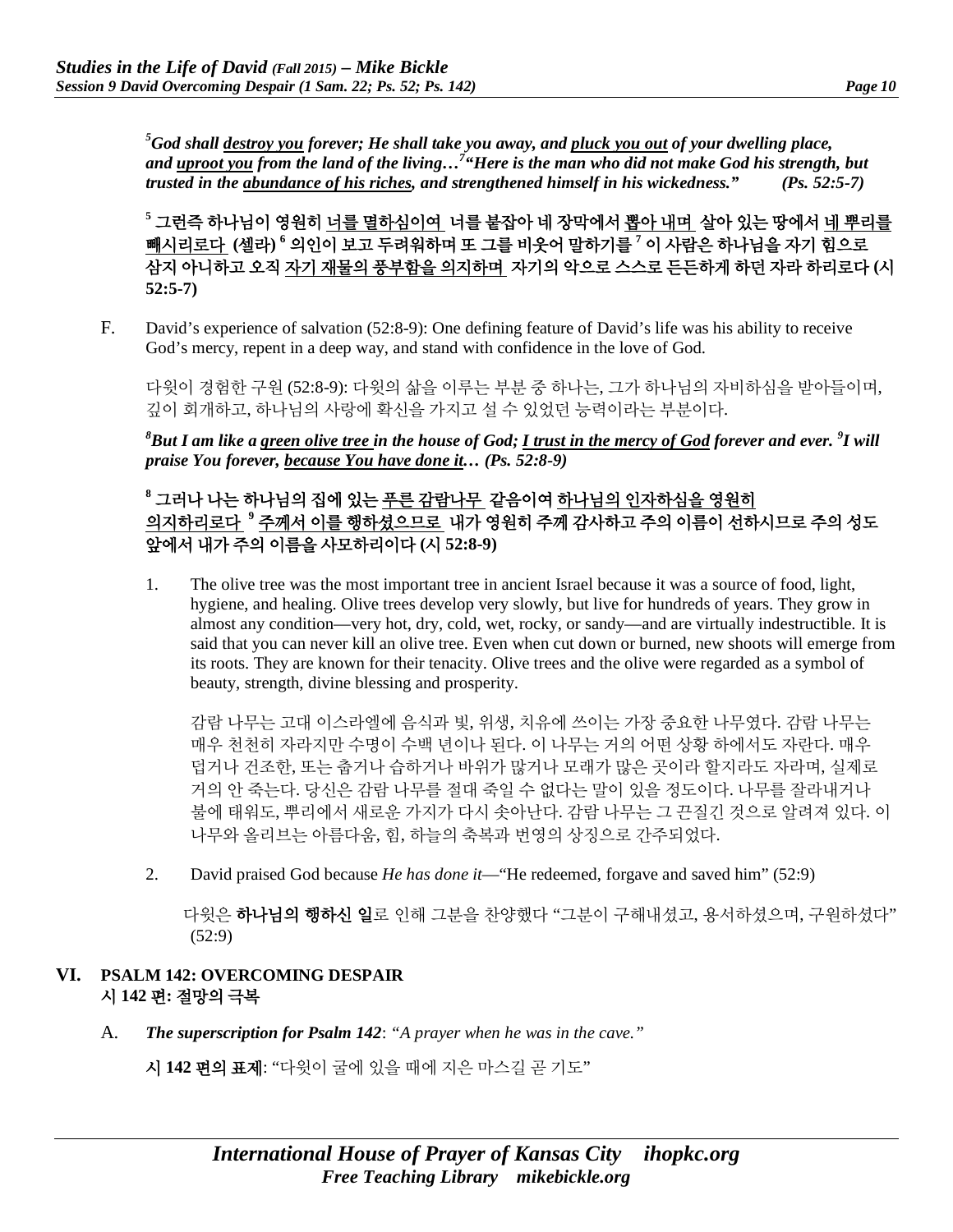*5 God shall destroy you forever; He shall take you away, and pluck you out of your dwelling place, and uproot you from the land of the living…7 "Here is the man who did not make God his strength, but trusted in the abundance of his riches, and strengthened himself in his wickedness." (Ps. 52:5-7)*

**<sup>5</sup>** 그런즉 하나님이 영원히 너를 멸하심이여 너를 붙잡아 네 장막에서 뽑아 내며 살아 있는 땅에서 네 뿌리를 빼시리로다 **(**셀라**) <sup>6</sup>** 의인이 보고 두려워하며 또 그를 비웃어 말하기를 **<sup>7</sup>** 이 사람은 하나님을 자기 힘으로 삼지 아니하고 오직 자기 재물의 풍부함을 의지하며 자기의 악으로 스스로 든든하게 하던 자라 하리로다 **(**시 **52:5-7)**

F. David's experience of salvation (52:8-9): One defining feature of David's life was his ability to receive God's mercy, repent in a deep way, and stand with confidence in the love of God.

다윗이 경험한 구원 (52:8-9): 다윗의 삶을 이루는 부분 중 하나는, 그가 하나님의 자비하심을 받아들이며, 깊이 회개하고, 하나님의 사랑에 확신을 가지고 설 수 있었던 능력이라는 부분이다.

*8 But I am like a green olive tree in the house of God; I trust in the mercy of God forever and ever. <sup>9</sup> I will praise You forever, because You have done it… (Ps. 52:8-9)*

## **<sup>8</sup>** 그러나 나는 하나님의 집에 있는 푸른 감람나무 같음이여 하나님의 인자하심을 영원히 의지하리로다 **<sup>9</sup>** 주께서 이를 행하셨으므로 내가 영원히 주께 감사하고 주의 이름이 선하시므로 주의 성도 앞에서 내가 주의 이름을 사모하리이다 **(**시 **52:8-9)**

1. The olive tree was the most important tree in ancient Israel because it was a source of food, light, hygiene, and healing. Olive trees develop very slowly, but live for hundreds of years. They grow in almost any condition—very hot, dry, cold, wet, rocky, or sandy—and are virtually indestructible. It is said that you can never kill an olive tree. Even when cut down or burned, new shoots will emerge from its roots. They are known for their tenacity. Olive trees and the olive were regarded as a symbol of beauty, strength, divine blessing and prosperity.

감람 나무는 고대 이스라엘에 음식과 빛, 위생, 치유에 쓰이는 가장 중요한 나무였다. 감람 나무는 매우 천천히 자라지만 수명이 수백 년이나 된다. 이 나무는 거의 어떤 상황 하에서도 자란다. 매우 덥거나 건조한, 또는 춥거나 습하거나 바위가 많거나 모래가 많은 곳이라 할지라도 자라며, 실제로 거의 안 죽는다. 당신은 감람 나무를 절대 죽일 수 없다는 말이 있을 정도이다. 나무를 잘라내거나 불에 태워도, 뿌리에서 새로운 가지가 다시 솟아난다. 감람 나무는 그 끈질긴 것으로 알려져 있다. 이 나무와 올리브는 아름다움, 힘, 하늘의 축복과 번영의 상징으로 간주되었다.

2. David praised God because *He has done it*—"He redeemed, forgave and saved him" (52:9)

다윗은 **하나님의 행하신 일**로 인해 그분을 찬양했다 "그분이 구해내셨고, 용서하셨으며, 구원하셨다" (52:9)

#### **VI. PSALM 142: OVERCOMING DESPAIR**  시 **142** 편**:** 절망의 극복

A. *The superscription for Psalm 142*: *"A prayer when he was in the cave."*

시 **142** 편의 표제: "다윗이 굴에 있을 때에 지은 마스길 곧 기도"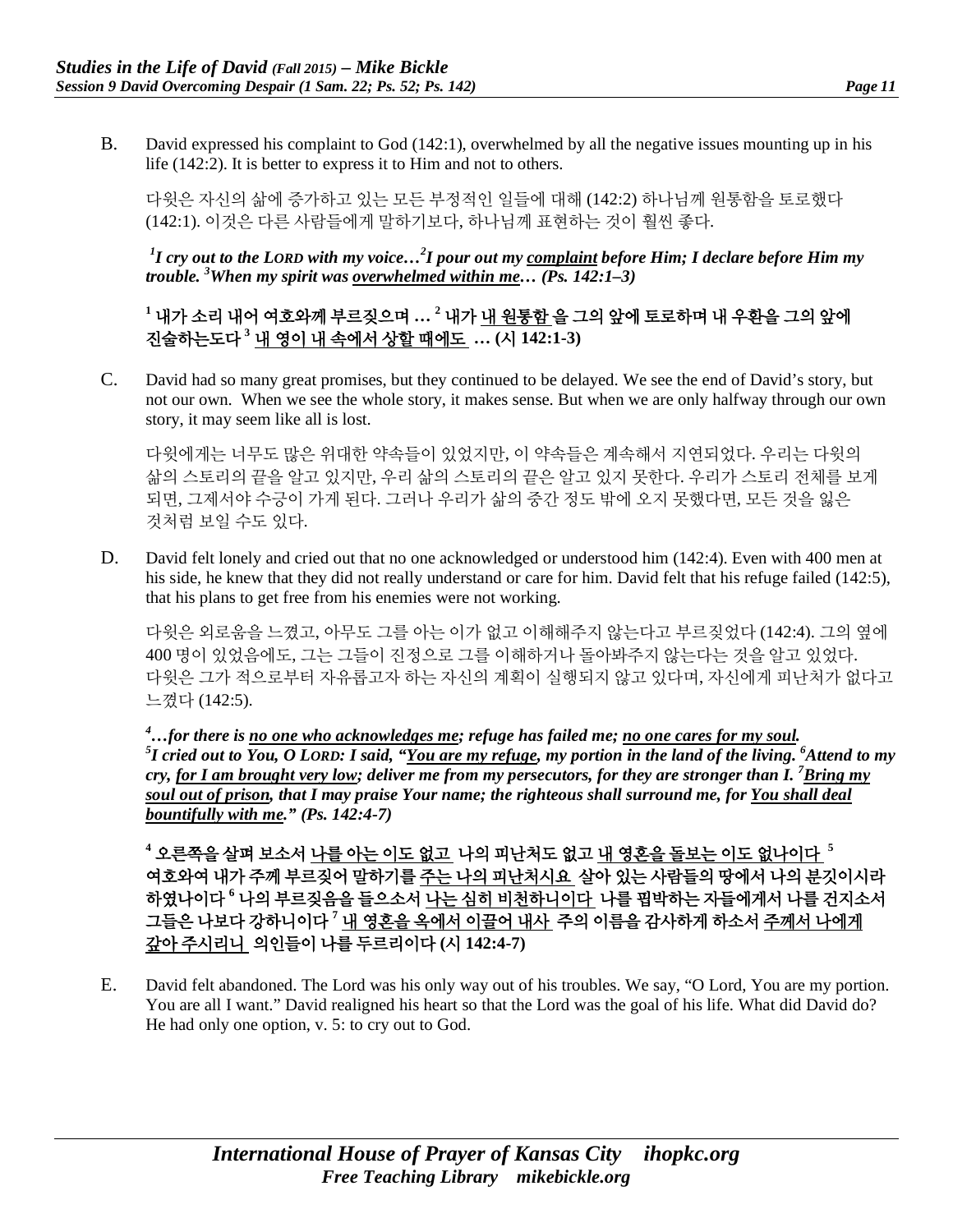B. David expressed his complaint to God (142:1), overwhelmed by all the negative issues mounting up in his life (142:2). It is better to express it to Him and not to others.

다윗은 자신의 삶에 증가하고 있는 모든 부정적인 일들에 대해 (142:2) 하나님께 원통함을 토로했다 (142:1). 이것은 다른 사람들에게 말하기보다, 하나님께 표현하는 것이 훨씬 좋다.

*1 I cry out to the LORD with my voice…2 I pour out my complaint before Him; I declare before Him my trouble. 3 When my spirit was overwhelmed within me… (Ps. 142:1–3)*

# **<sup>1</sup>** 내가 소리 내어 여호와께 부르짖으며 **… <sup>2</sup>** 내가 내 원통함 을 그의 앞에 토로하며 내 우환을 그의 앞에 진술하는도다 **<sup>3</sup>** 내 영이 내 속에서 상할 때에도 **… (**시 **142:1-3)**

C. David had so many great promises, but they continued to be delayed. We see the end of David's story, but not our own. When we see the whole story, it makes sense. But when we are only halfway through our own story, it may seem like all is lost.

다윗에게는 너무도 많은 위대한 약속들이 있었지만, 이 약속들은 계속해서 지연되었다. 우리는 다윗의 삶의 스토리의 끝을 알고 있지만, 우리 삶의 스토리의 끝은 알고 있지 못한다. 우리가 스토리 전체를 보게 되면, 그제서야 수긍이 가게 된다. 그러나 우리가 삶의 중간 정도 밖에 오지 못했다면, 모든 것을 잃은 것처럼 보일 수도 있다.

D. David felt lonely and cried out that no one acknowledged or understood him (142:4). Even with 400 men at his side, he knew that they did not really understand or care for him. David felt that his refuge failed (142:5), that his plans to get free from his enemies were not working.

다윗은 외로움을 느꼈고, 아무도 그를 아는 이가 없고 이해해주지 않는다고 부르짖었다 (142:4). 그의 옆에 400 명이 있었음에도, 그는 그들이 진정으로 그를 이해하거나 돌아봐주지 않는다는 것을 알고 있었다. 다윗은 그가 적으로부터 자유롭고자 하는 자신의 계획이 실행되지 않고 있다며, 자신에게 피난처가 없다고 느꼈다 (142:5).

*4 …for there is no one who acknowledges me; refuge has failed me; no one cares for my soul. 5 I cried out to You, O LORD: I said, "You are my refuge, my portion in the land of the living. 6 Attend to my cry, <u>for I am brought very low</u>; deliver me from my persecutors, for they are stronger than I. <sup>7</sup> <u>Bring my</u> soul out of prison, that I may praise Your name; the righteous shall surround me, for You shall deal bountifully with me." (Ps. 142:4-7)*

**<sup>4</sup>** 오른쪽을 살펴 보소서 나를 아는 이도 없고 나의 피난처도 없고 내 영혼을 돌보는 이도 없나이다 **<sup>5</sup>** 여호와여 내가 주께 부르짖어 말하기를 <u>주는 나의 피난처시요</u> 살아 있는 사람들의 땅에서 나의 분깃이시라 하였나이다 **<sup>6</sup>** 나의 부르짖음을 들으소서 나는 심히 비천하니이다 나를 핍박하는 자들에게서 나를 건지소서 그들은 나보다 강하니이다 **<sup>7</sup>** 내 영혼을 옥에서 이끌어 내사 주의 이름을 감사하게 하소서 주께서 나에게 갚아 주시리니 의인들이 나를 두르리이다 **(**시 **142:4-7)**

E. David felt abandoned. The Lord was his only way out of his troubles. We say, "O Lord, You are my portion. You are all I want." David realigned his heart so that the Lord was the goal of his life. What did David do? He had only one option, v. 5: to cry out to God.